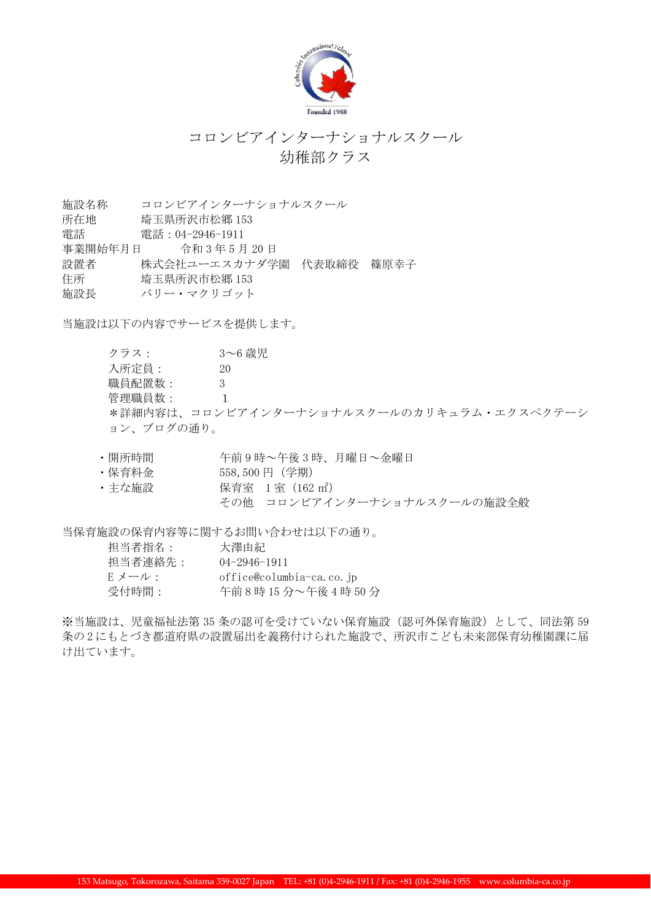

## コロンビアインターナショナルスクール 幼稚部クラス

施設名称 コロンビアインターナショナルスクール

- 所在地 埼玉県所沢市松郷 153
- 電話 電話:04-2946-1911
- 事業開始年月日 令和 3 年 5 月 20 日
- 設置者 株式会社ユーエスカナダ学園 代表取締役 篠原幸子
- 住所 埼玉県所沢市松郷 153
- 施設長 バリー・マクリゴット

当施設は以下の内容でサービスを提供します。

クラス: 3~6 歳児 入所定員: 20 職員配置数: 3 管理職員数: 1 \*詳細内容は、コロンビアインターナショナルスクールのカリキュラム・エクスペクテーシ ョン、ブログの通り。

- ・開所時間 午前 9 時~午後 3 時、月曜日~金曜日
- ・保育料金 558,500 円(学期)
- 主な施設 インストリック 保育室 1 室 (162 ㎡) その他 コロンビアインターナショナルスクールの施設全般

当保育施設の保育内容等に関するお問い合わせは以下の通り。

| 担当者指名:  | 大澤由紀                     |
|---------|--------------------------|
| 担当者連絡先: | $(14 - 2946 - 1911)$     |
| E メール : | office@columbia-ca.co.jp |
| 受付時間:   | 午前8時15分~午後4時50分          |

※当施設は、児童福祉法第 35 条の認可を受けていない保育施設(認可外保育施設)として、同法第 59 条の 2 にもとづき都道府県の設置届出を義務付けられた施設で、所沢市こども未来部保育幼稚園課に届 け出ています。